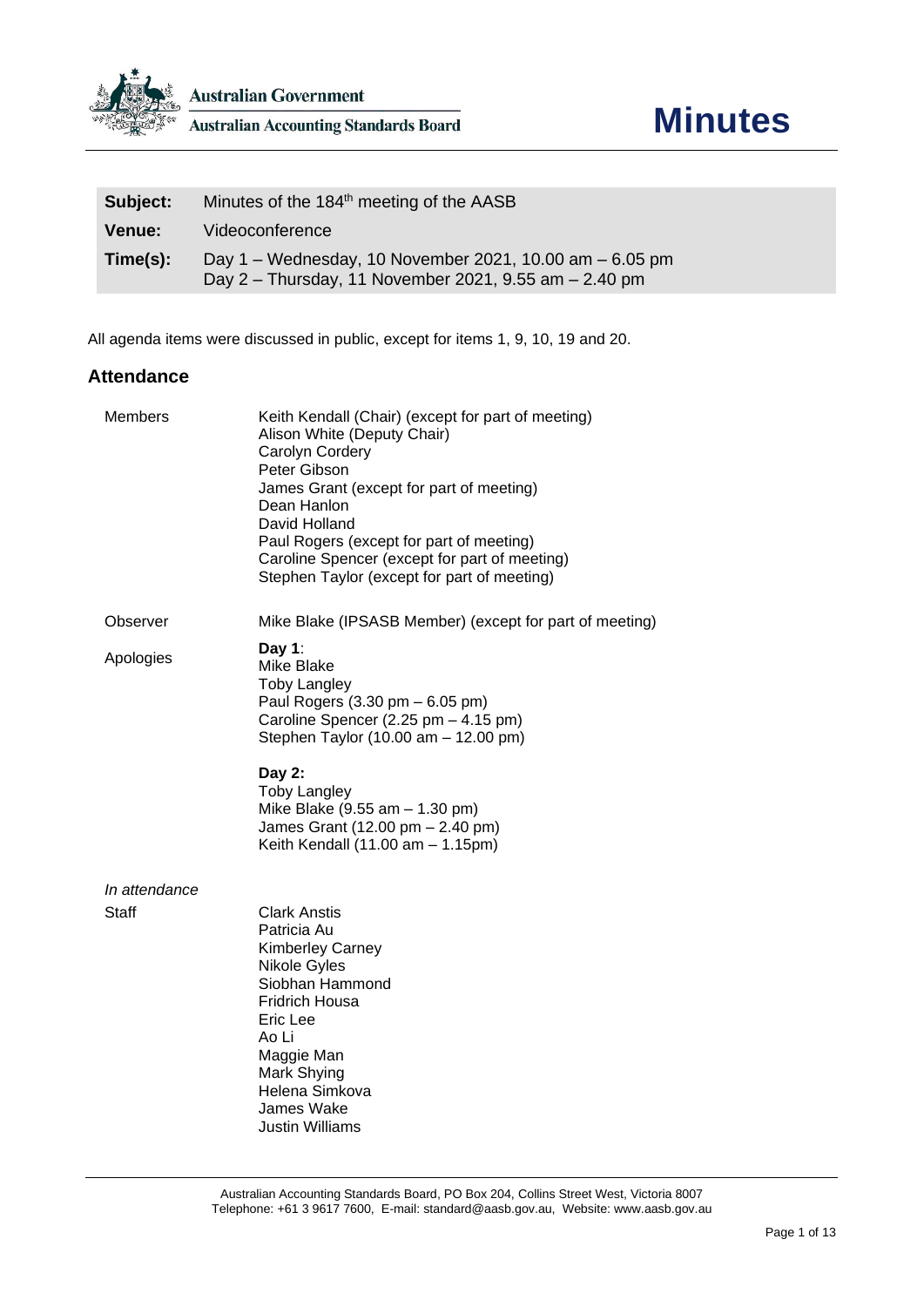

| Subject:      | Minutes of the 184 <sup>th</sup> meeting of the AASB                                                             |
|---------------|------------------------------------------------------------------------------------------------------------------|
| <b>Venue:</b> | Videoconference                                                                                                  |
| Time(s):      | Day 1 – Wednesday, 10 November 2021, 10.00 am – 6.05 pm<br>Day 2 - Thursday, 11 November 2021, 9.55 am - 2.40 pm |

All agenda items were discussed in public, except for items 1, 9, 10, 19 and 20.

### **Attendance**

| <b>Members</b>                | Keith Kendall (Chair) (except for part of meeting)<br>Alison White (Deputy Chair)<br>Carolyn Cordery<br>Peter Gibson<br>James Grant (except for part of meeting)<br>Dean Hanlon<br>David Holland<br>Paul Rogers (except for part of meeting)<br>Caroline Spencer (except for part of meeting)<br>Stephen Taylor (except for part of meeting) |
|-------------------------------|----------------------------------------------------------------------------------------------------------------------------------------------------------------------------------------------------------------------------------------------------------------------------------------------------------------------------------------------|
| Observer                      | Mike Blake (IPSASB Member) (except for part of meeting)                                                                                                                                                                                                                                                                                      |
| Apologies                     | Day 1:<br>Mike Blake<br><b>Toby Langley</b><br>Paul Rogers (3.30 pm - 6.05 pm)<br>Caroline Spencer (2.25 pm - 4.15 pm)<br>Stephen Taylor (10.00 am - 12.00 pm)                                                                                                                                                                               |
|                               | Day 2:<br><b>Toby Langley</b><br>Mike Blake (9.55 am - 1.30 pm)<br>James Grant (12.00 pm - 2.40 pm)<br>Keith Kendall $(11.00 am - 1.15pm)$                                                                                                                                                                                                   |
| In attendance<br><b>Staff</b> | <b>Clark Anstis</b><br>Patricia Au<br>Kimberley Carney<br>Nikole Gyles<br>Siobhan Hammond<br>Fridrich Housa<br>Eric Lee<br>Ao Li<br>Maggie Man<br>Mark Shying<br>Helena Simkova<br>James Wake<br>Justin Williams                                                                                                                             |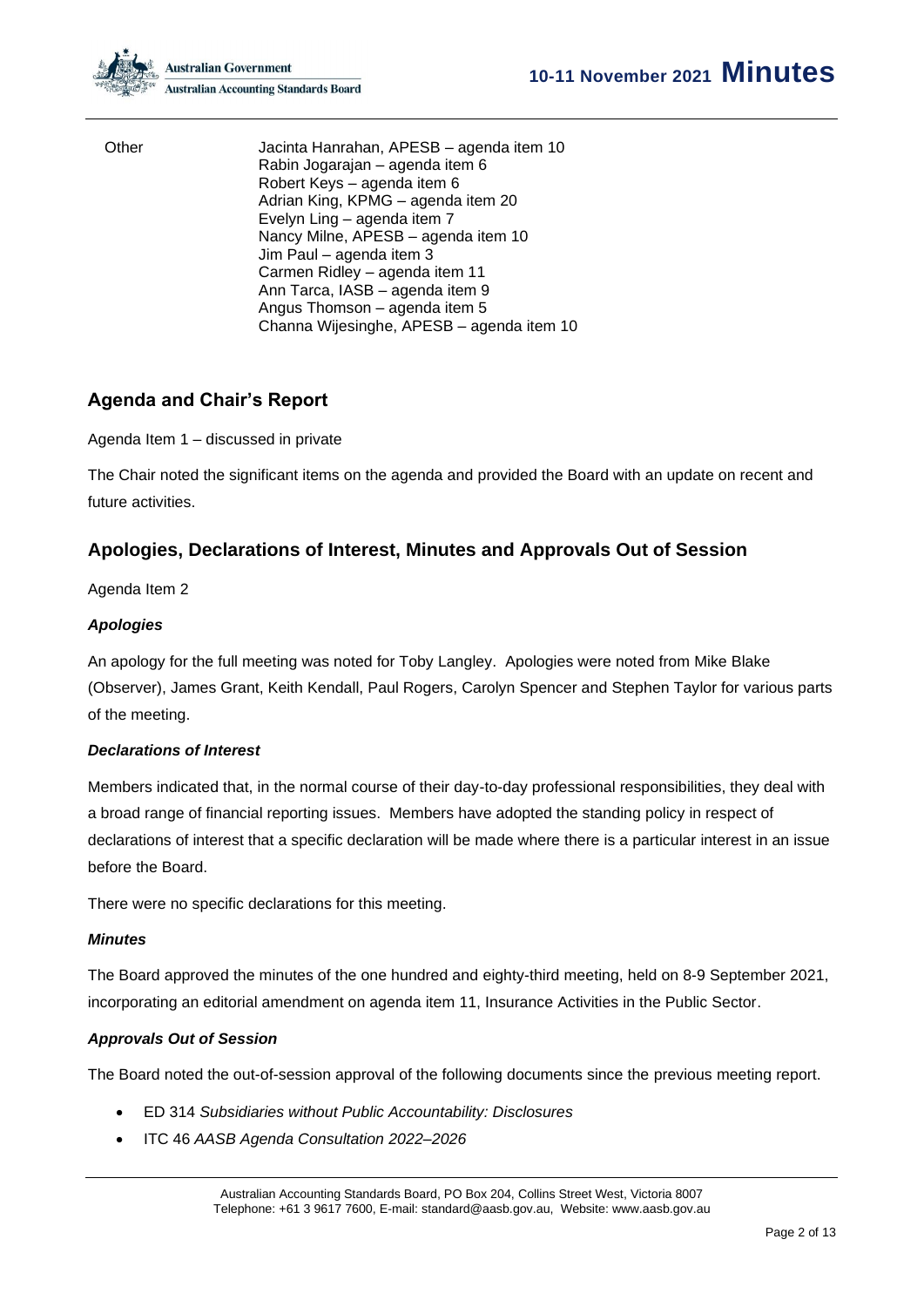Other Jacinta Hanrahan, APESB – agenda item 10 Rabin Jogarajan – agenda item 6 Robert Keys – agenda item 6 Adrian King, KPMG – agenda item 20 Evelyn Ling – agenda item 7 Nancy Milne, APESB – agenda item 10 Jim Paul – agenda item 3 Carmen Ridley – agenda item 11 Ann Tarca, IASB – agenda item 9 Angus Thomson – agenda item 5 Channa Wijesinghe, APESB – agenda item 10

## **Agenda and Chair's Report**

Agenda Item 1 – discussed in private

The Chair noted the significant items on the agenda and provided the Board with an update on recent and future activities.

## **Apologies, Declarations of Interest, Minutes and Approvals Out of Session**

Agenda Item 2

### *Apologies*

An apology for the full meeting was noted for Toby Langley. Apologies were noted from Mike Blake (Observer), James Grant, Keith Kendall, Paul Rogers, Carolyn Spencer and Stephen Taylor for various parts of the meeting.

#### *Declarations of Interest*

Members indicated that, in the normal course of their day-to-day professional responsibilities, they deal with a broad range of financial reporting issues. Members have adopted the standing policy in respect of declarations of interest that a specific declaration will be made where there is a particular interest in an issue before the Board.

There were no specific declarations for this meeting.

#### *Minutes*

The Board approved the minutes of the one hundred and eighty-third meeting, held on 8-9 September 2021, incorporating an editorial amendment on agenda item 11, Insurance Activities in the Public Sector.

### *Approvals Out of Session*

The Board noted the out-of-session approval of the following documents since the previous meeting report.

- ED 314 *Subsidiaries without Public Accountability: Disclosures*
- ITC 46 *AASB Agenda Consultation 2022–2026*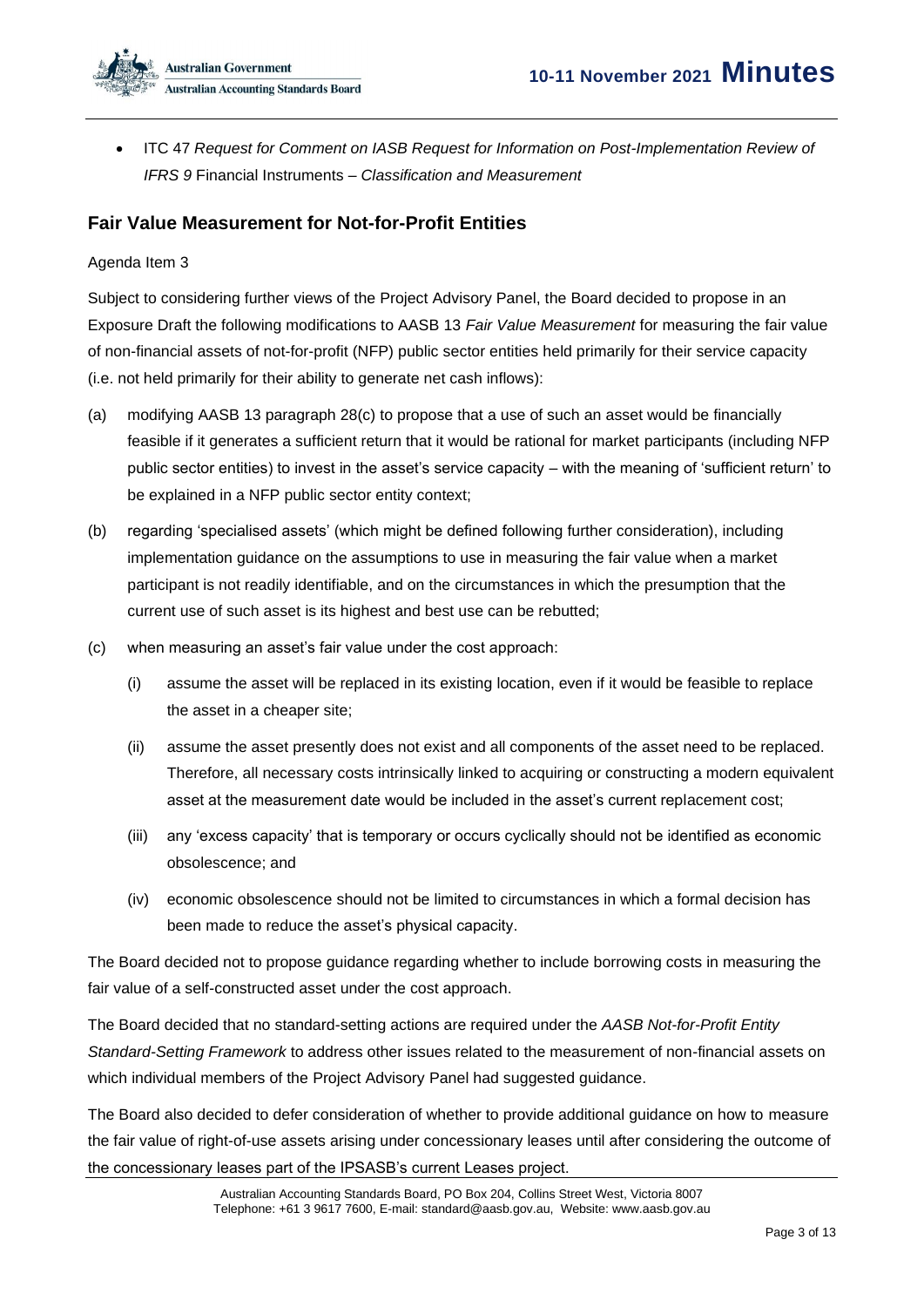• ITC 47 *Request for Comment on IASB Request for Information on Post-Implementation Review of IFRS 9* Financial Instruments – *Classification and Measurement*

## **Fair Value Measurement for Not-for-Profit Entities**

#### Agenda Item 3

Subject to considering further views of the Project Advisory Panel, the Board decided to propose in an Exposure Draft the following modifications to AASB 13 *Fair Value Measurement* for measuring the fair value of non-financial assets of not-for-profit (NFP) public sector entities held primarily for their service capacity (i.e. not held primarily for their ability to generate net cash inflows):

- (a) modifying AASB 13 paragraph 28(c) to propose that a use of such an asset would be financially feasible if it generates a sufficient return that it would be rational for market participants (including NFP public sector entities) to invest in the asset's service capacity – with the meaning of 'sufficient return' to be explained in a NFP public sector entity context;
- (b) regarding 'specialised assets' (which might be defined following further consideration), including implementation guidance on the assumptions to use in measuring the fair value when a market participant is not readily identifiable, and on the circumstances in which the presumption that the current use of such asset is its highest and best use can be rebutted;
- (c) when measuring an asset's fair value under the cost approach:
	- (i) assume the asset will be replaced in its existing location, even if it would be feasible to replace the asset in a cheaper site;
	- (ii) assume the asset presently does not exist and all components of the asset need to be replaced. Therefore, all necessary costs intrinsically linked to acquiring or constructing a modern equivalent asset at the measurement date would be included in the asset's current replacement cost;
	- (iii) any 'excess capacity' that is temporary or occurs cyclically should not be identified as economic obsolescence; and
	- (iv) economic obsolescence should not be limited to circumstances in which a formal decision has been made to reduce the asset's physical capacity.

The Board decided not to propose guidance regarding whether to include borrowing costs in measuring the fair value of a self-constructed asset under the cost approach.

The Board decided that no standard-setting actions are required under the *AASB Not-for-Profit Entity Standard-Setting Framework* to address other issues related to the measurement of non-financial assets on which individual members of the Project Advisory Panel had suggested guidance.

The Board also decided to defer consideration of whether to provide additional guidance on how to measure the fair value of right-of-use assets arising under concessionary leases until after considering the outcome of the concessionary leases part of the IPSASB's current Leases project.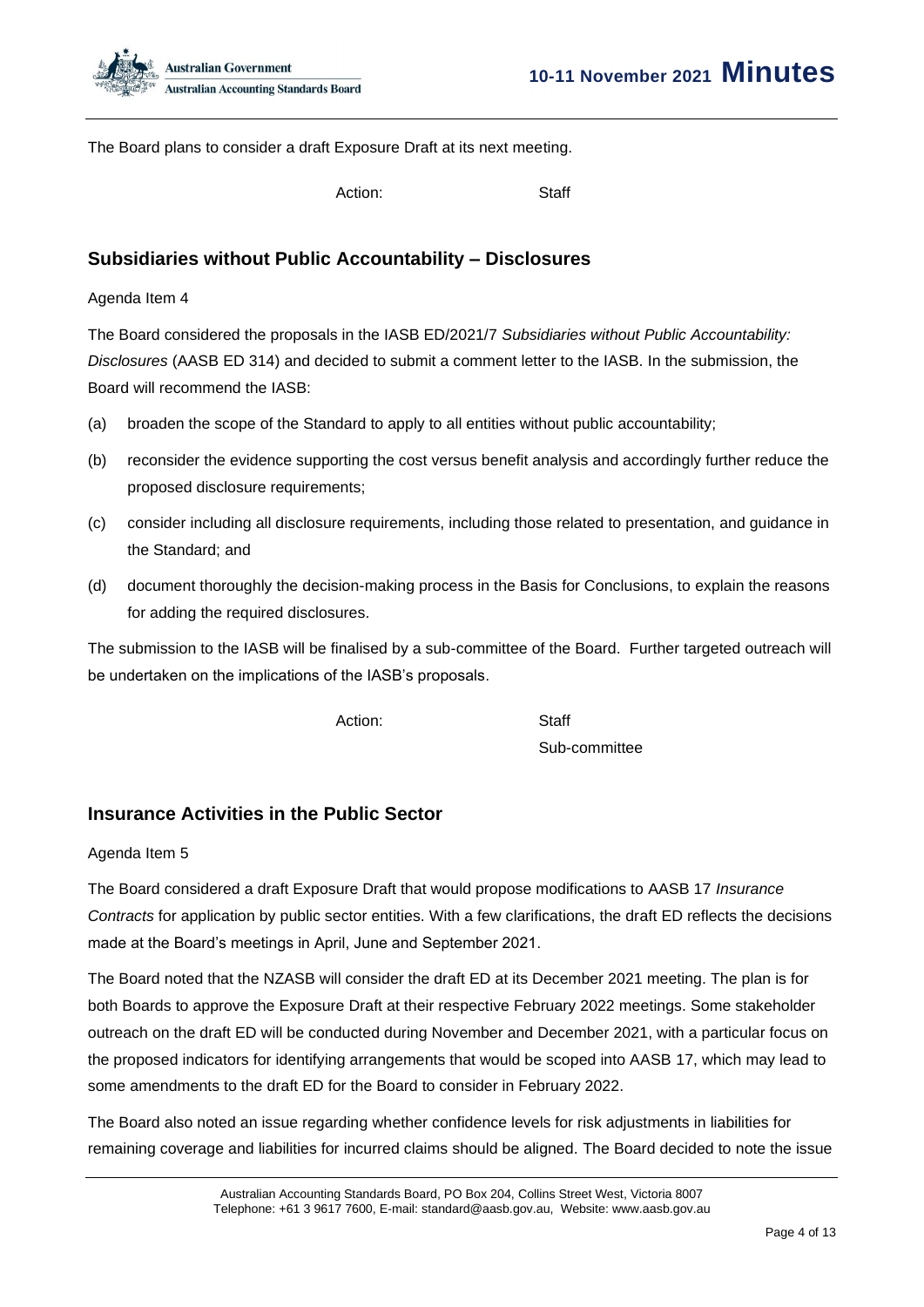

The Board plans to consider a draft Exposure Draft at its next meeting.

Action: Staff

## **Subsidiaries without Public Accountability – Disclosures**

Agenda Item 4

The Board considered the proposals in the IASB ED/2021/7 *Subsidiaries without Public Accountability: Disclosures* (AASB ED 314) and decided to submit a comment letter to the IASB. In the submission, the Board will recommend the IASB:

- (a) broaden the scope of the Standard to apply to all entities without public accountability;
- (b) reconsider the evidence supporting the cost versus benefit analysis and accordingly further reduce the proposed disclosure requirements;
- (c) consider including all disclosure requirements, including those related to presentation, and guidance in the Standard; and
- (d) document thoroughly the decision-making process in the Basis for Conclusions, to explain the reasons for adding the required disclosures.

The submission to the IASB will be finalised by a sub-committee of the Board. Further targeted outreach will be undertaken on the implications of the IASB's proposals.

Action: Staff

Sub-committee

## **Insurance Activities in the Public Sector**

#### Agenda Item 5

The Board considered a draft Exposure Draft that would propose modifications to AASB 17 *Insurance Contracts* for application by public sector entities. With a few clarifications, the draft ED reflects the decisions made at the Board's meetings in April, June and September 2021.

The Board noted that the NZASB will consider the draft ED at its December 2021 meeting. The plan is for both Boards to approve the Exposure Draft at their respective February 2022 meetings. Some stakeholder outreach on the draft ED will be conducted during November and December 2021, with a particular focus on the proposed indicators for identifying arrangements that would be scoped into AASB 17, which may lead to some amendments to the draft ED for the Board to consider in February 2022.

The Board also noted an issue regarding whether confidence levels for risk adjustments in liabilities for remaining coverage and liabilities for incurred claims should be aligned. The Board decided to note the issue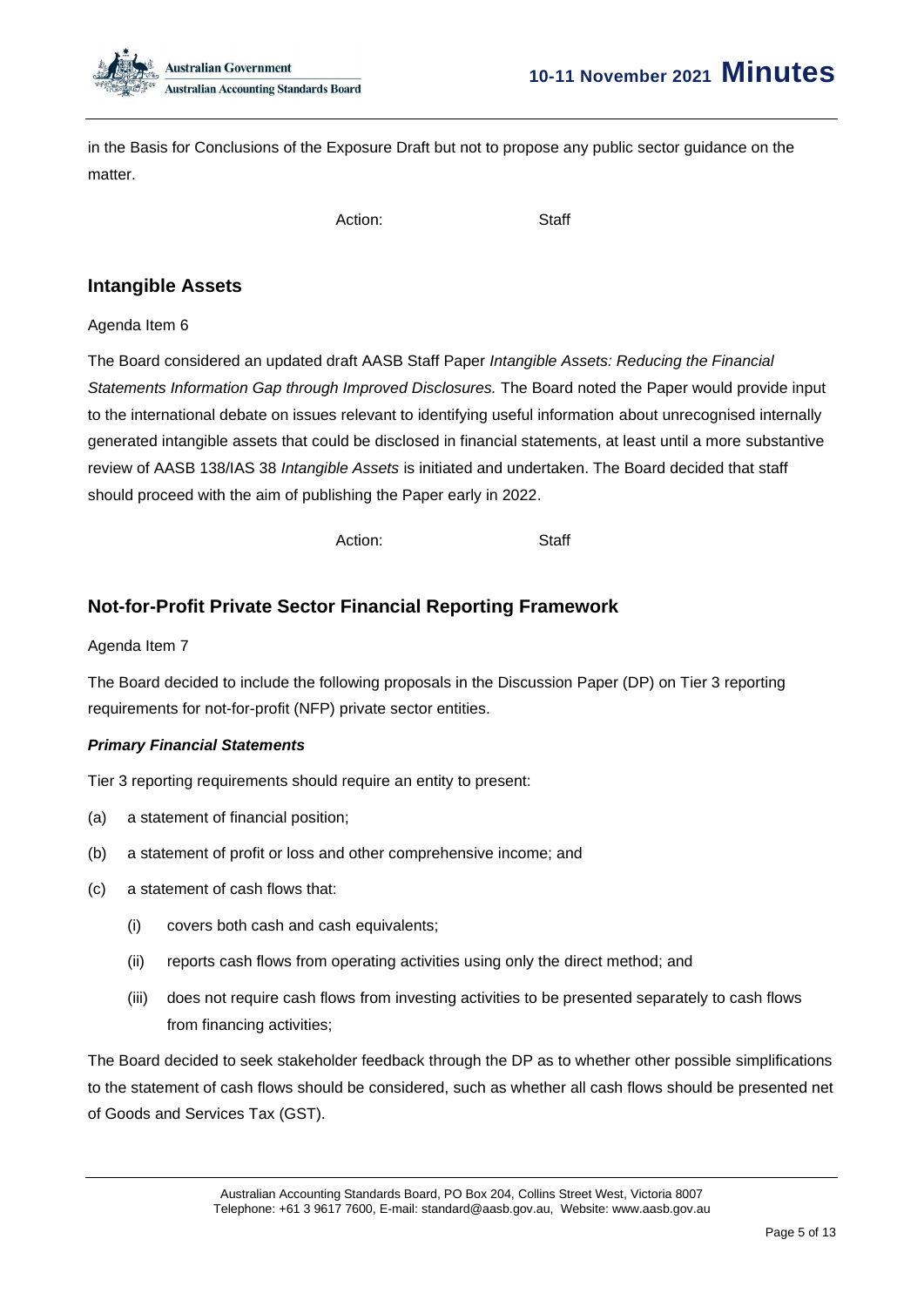

in the Basis for Conclusions of the Exposure Draft but not to propose any public sector guidance on the matter.

Action: Staff

## **Intangible Assets**

#### Agenda Item 6

The Board considered an updated draft AASB Staff Paper *Intangible Assets: Reducing the Financial Statements Information Gap through Improved Disclosures.* The Board noted the Paper would provide input to the international debate on issues relevant to identifying useful information about unrecognised internally generated intangible assets that could be disclosed in financial statements, at least until a more substantive review of AASB 138/IAS 38 *Intangible Assets* is initiated and undertaken. The Board decided that staff should proceed with the aim of publishing the Paper early in 2022.

Action: Staff

## **Not-for-Profit Private Sector Financial Reporting Framework**

#### Agenda Item 7

The Board decided to include the following proposals in the Discussion Paper (DP) on Tier 3 reporting requirements for not-for-profit (NFP) private sector entities.

#### *Primary Financial Statements*

Tier 3 reporting requirements should require an entity to present:

- (a) a statement of financial position;
- (b) a statement of profit or loss and other comprehensive income; and
- (c) a statement of cash flows that:
	- (i) covers both cash and cash equivalents;
	- (ii) reports cash flows from operating activities using only the direct method; and
	- (iii) does not require cash flows from investing activities to be presented separately to cash flows from financing activities;

The Board decided to seek stakeholder feedback through the DP as to whether other possible simplifications to the statement of cash flows should be considered, such as whether all cash flows should be presented net of Goods and Services Tax (GST).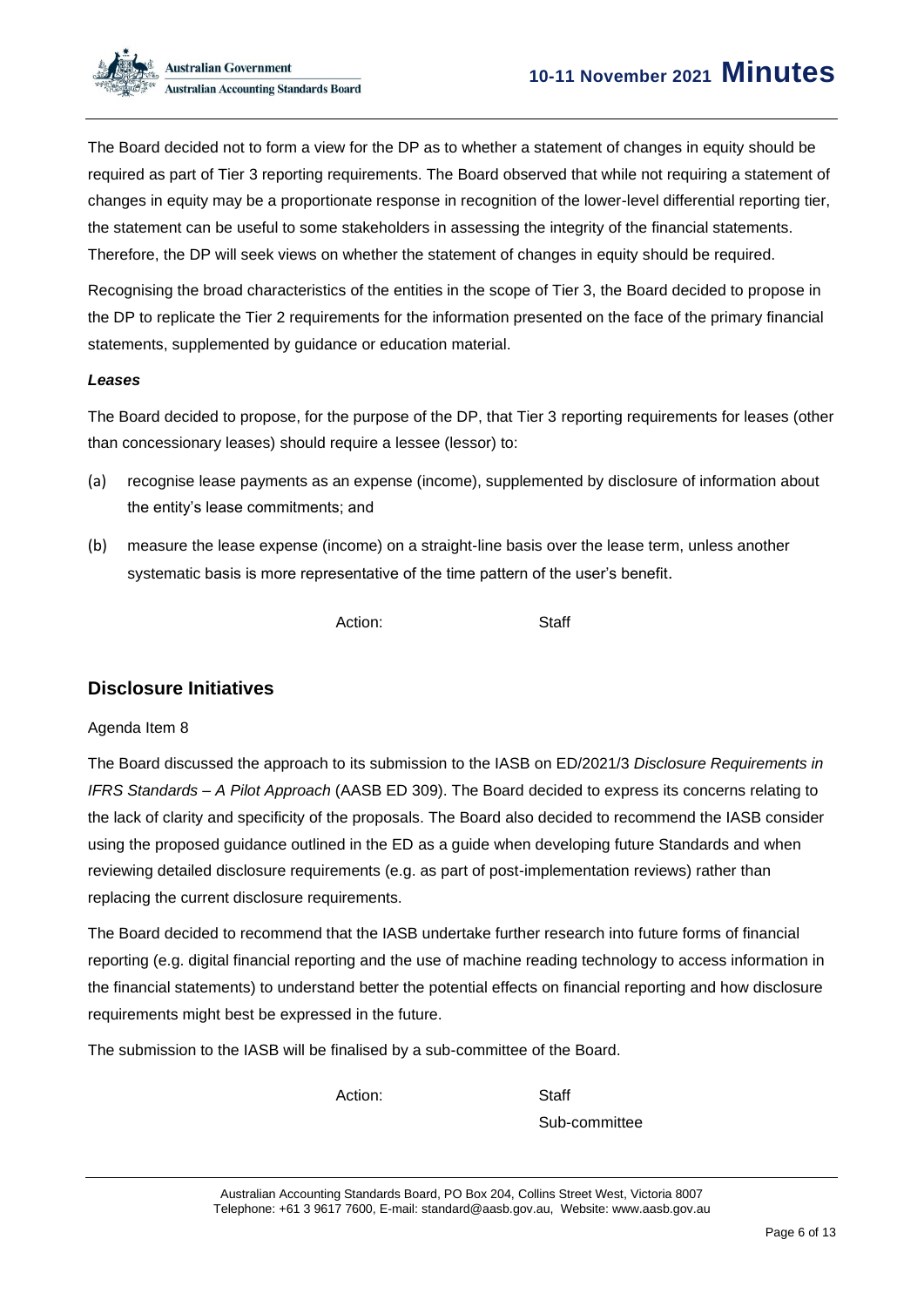The Board decided not to form a view for the DP as to whether a statement of changes in equity should be required as part of Tier 3 reporting requirements. The Board observed that while not requiring a statement of changes in equity may be a proportionate response in recognition of the lower-level differential reporting tier, the statement can be useful to some stakeholders in assessing the integrity of the financial statements. Therefore, the DP will seek views on whether the statement of changes in equity should be required.

Recognising the broad characteristics of the entities in the scope of Tier 3, the Board decided to propose in the DP to replicate the Tier 2 requirements for the information presented on the face of the primary financial statements, supplemented by guidance or education material.

#### *Leases*

The Board decided to propose, for the purpose of the DP, that Tier 3 reporting requirements for leases (other than concessionary leases) should require a lessee (lessor) to:

- (a) recognise lease payments as an expense (income), supplemented by disclosure of information about the entity's lease commitments; and
- (b) measure the lease expense (income) on a straight-line basis over the lease term, unless another systematic basis is more representative of the time pattern of the user's benefit.

Action: Staff

## **Disclosure Initiatives**

#### Agenda Item 8

The Board discussed the approach to its submission to the IASB on ED/2021/3 *Disclosure Requirements in IFRS Standards – A Pilot Approach* (AASB ED 309). The Board decided to express its concerns relating to the lack of clarity and specificity of the proposals. The Board also decided to recommend the IASB consider using the proposed guidance outlined in the ED as a guide when developing future Standards and when reviewing detailed disclosure requirements (e.g. as part of post-implementation reviews) rather than replacing the current disclosure requirements.

The Board decided to recommend that the IASB undertake further research into future forms of financial reporting (e.g. digital financial reporting and the use of machine reading technology to access information in the financial statements) to understand better the potential effects on financial reporting and how disclosure requirements might best be expressed in the future.

The submission to the IASB will be finalised by a sub-committee of the Board.

Action: Staff

Sub-committee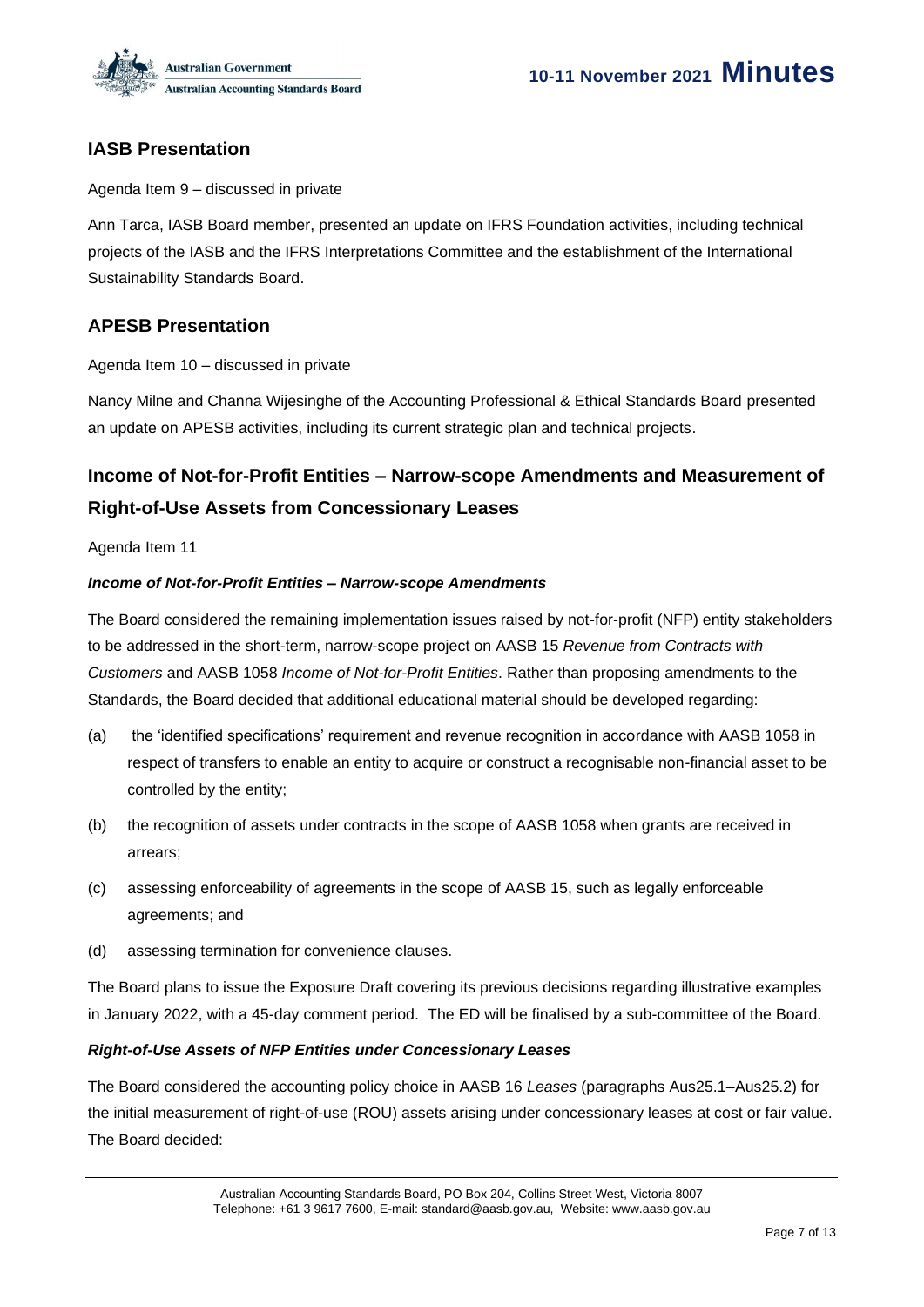

## **IASB Presentation**

Agenda Item 9 – discussed in private

Ann Tarca, IASB Board member, presented an update on IFRS Foundation activities, including technical projects of the IASB and the IFRS Interpretations Committee and the establishment of the International Sustainability Standards Board.

## **APESB Presentation**

Agenda Item 10 – discussed in private

Nancy Milne and Channa Wijesinghe of the Accounting Professional & Ethical Standards Board presented an update on APESB activities, including its current strategic plan and technical projects.

# **Income of Not-for-Profit Entities – Narrow-scope Amendments and Measurement of Right-of-Use Assets from Concessionary Leases**

Agenda Item 11

#### *Income of Not-for-Profit Entities – Narrow-scope Amendments*

The Board considered the remaining implementation issues raised by not-for-profit (NFP) entity stakeholders to be addressed in the short-term, narrow-scope project on AASB 15 *Revenue from Contracts with Customers* and AASB 1058 *Income of Not-for-Profit Entities*. Rather than proposing amendments to the Standards, the Board decided that additional educational material should be developed regarding:

- (a) the 'identified specifications' requirement and revenue recognition in accordance with AASB 1058 in respect of transfers to enable an entity to acquire or construct a recognisable non-financial asset to be controlled by the entity;
- (b) the recognition of assets under contracts in the scope of AASB 1058 when grants are received in arrears;
- (c) assessing enforceability of agreements in the scope of AASB 15, such as legally enforceable agreements; and
- (d) assessing termination for convenience clauses.

The Board plans to issue the Exposure Draft covering its previous decisions regarding illustrative examples in January 2022, with a 45-day comment period. The ED will be finalised by a sub-committee of the Board.

#### *Right-of-Use Assets of NFP Entities under Concessionary Leases*

The Board considered the accounting policy choice in AASB 16 *Leases* (paragraphs Aus25.1–Aus25.2) for the initial measurement of right-of-use (ROU) assets arising under concessionary leases at cost or fair value. The Board decided: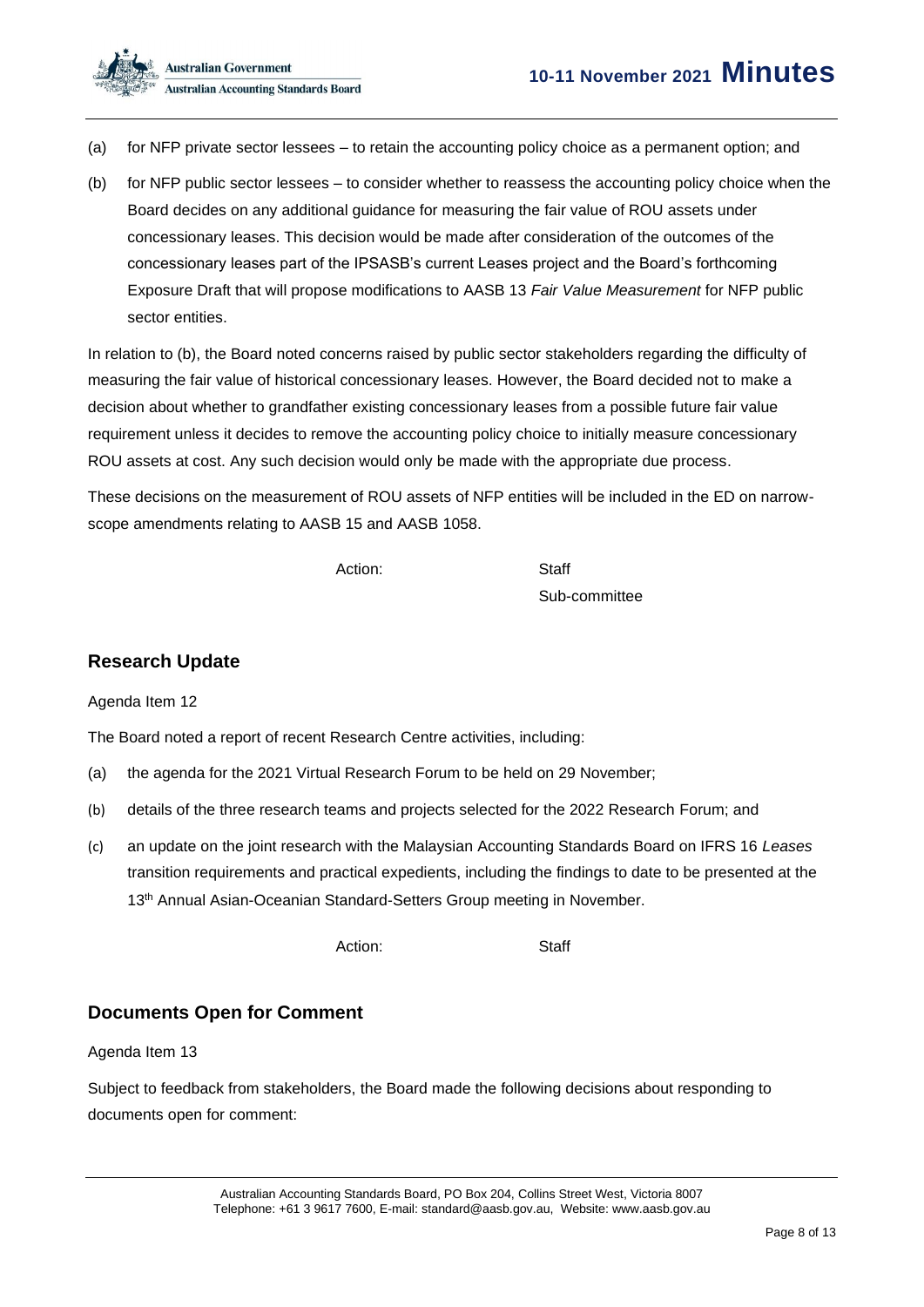

- (a) for NFP private sector lessees to retain the accounting policy choice as a permanent option; and
- (b) for NFP public sector lessees to consider whether to reassess the accounting policy choice when the Board decides on any additional guidance for measuring the fair value of ROU assets under concessionary leases. This decision would be made after consideration of the outcomes of the concessionary leases part of the IPSASB's current Leases project and the Board's forthcoming Exposure Draft that will propose modifications to AASB 13 *Fair Value Measurement* for NFP public sector entities.

In relation to (b), the Board noted concerns raised by public sector stakeholders regarding the difficulty of measuring the fair value of historical concessionary leases. However, the Board decided not to make a decision about whether to grandfather existing concessionary leases from a possible future fair value requirement unless it decides to remove the accounting policy choice to initially measure concessionary ROU assets at cost. Any such decision would only be made with the appropriate due process.

These decisions on the measurement of ROU assets of NFP entities will be included in the ED on narrowscope amendments relating to AASB 15 and AASB 1058.

Action: Staff

Sub-committee

## **Research Update**

Agenda Item 12

The Board noted a report of recent Research Centre activities, including:

- (a) the agenda for the 2021 Virtual Research Forum to be held on 29 November;
- (b) details of the three research teams and projects selected for the 2022 Research Forum; and
- (c) an update on the joint research with the Malaysian Accounting Standards Board on IFRS 16 *Leases* transition requirements and practical expedients, including the findings to date to be presented at the 13<sup>th</sup> Annual Asian-Oceanian Standard-Setters Group meeting in November.

Action: Staff

## **Documents Open for Comment**

Agenda Item 13

Subject to feedback from stakeholders, the Board made the following decisions about responding to documents open for comment: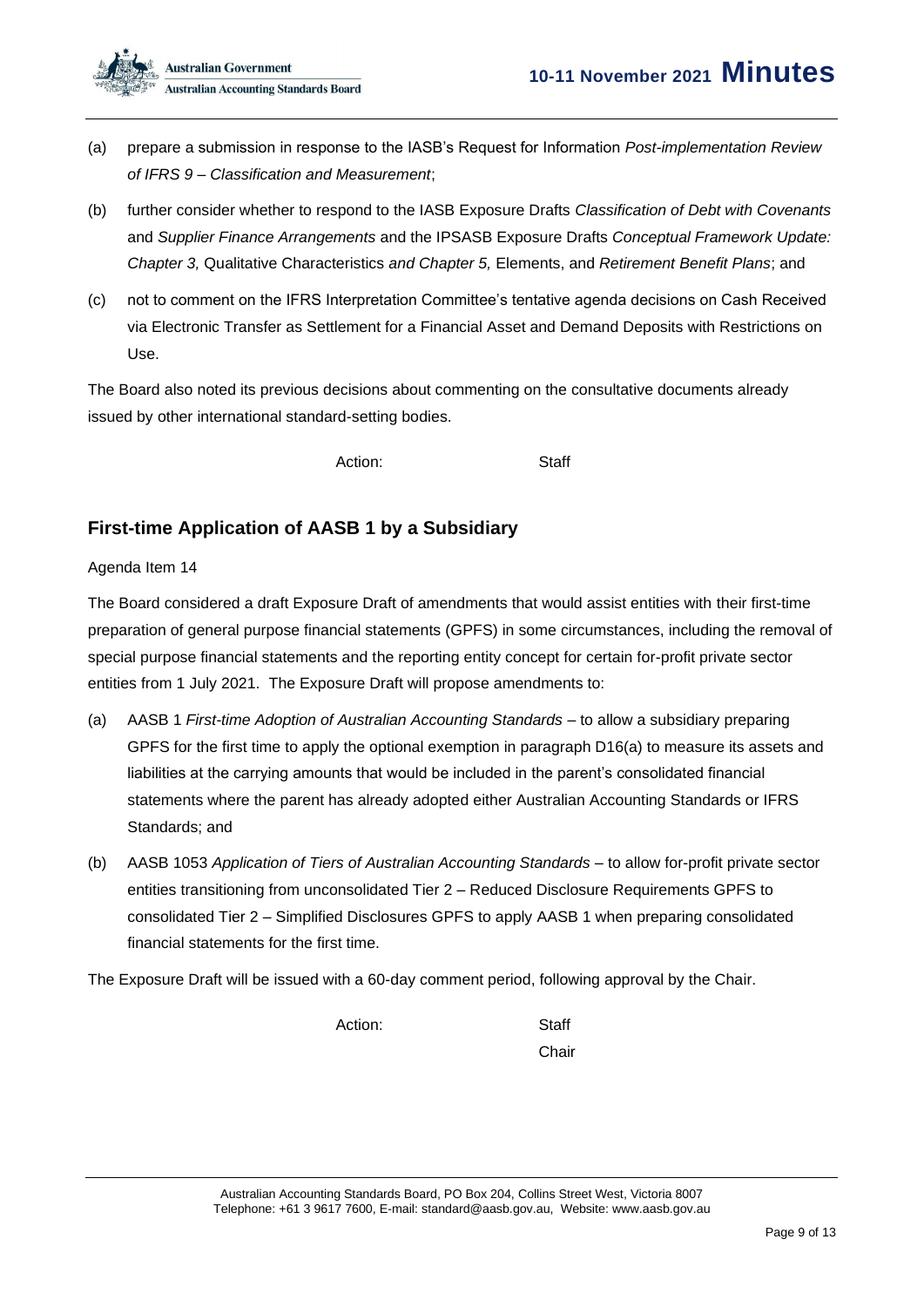

- (a) prepare a submission in response to the IASB's Request for Information *Post-implementation Review of IFRS 9 – Classification and Measurement*;
- (b) further consider whether to respond to the IASB Exposure Drafts *Classification of Debt with Covenants* and *Supplier Finance Arrangements* and the IPSASB Exposure Drafts *Conceptual Framework Update: Chapter 3,* Qualitative Characteristics *and Chapter 5,* Elements, and *Retirement Benefit Plans*; and
- (c) not to comment on the IFRS Interpretation Committee's tentative agenda decisions on Cash Received via Electronic Transfer as Settlement for a Financial Asset and Demand Deposits with Restrictions on Use.

The Board also noted its previous decisions about commenting on the consultative documents already issued by other international standard-setting bodies.

Action: Staff

## **First-time Application of AASB 1 by a Subsidiary**

### Agenda Item 14

The Board considered a draft Exposure Draft of amendments that would assist entities with their first-time preparation of general purpose financial statements (GPFS) in some circumstances, including the removal of special purpose financial statements and the reporting entity concept for certain for-profit private sector entities from 1 July 2021. The Exposure Draft will propose amendments to:

- (a) AASB 1 *First-time Adoption of Australian Accounting Standards* to allow a subsidiary preparing GPFS for the first time to apply the optional exemption in paragraph D16(a) to measure its assets and liabilities at the carrying amounts that would be included in the parent's consolidated financial statements where the parent has already adopted either Australian Accounting Standards or IFRS Standards; and
- (b) AASB 1053 *Application of Tiers of Australian Accounting Standards* to allow for-profit private sector entities transitioning from unconsolidated Tier 2 – Reduced Disclosure Requirements GPFS to consolidated Tier 2 – Simplified Disclosures GPFS to apply AASB 1 when preparing consolidated financial statements for the first time.

The Exposure Draft will be issued with a 60-day comment period, following approval by the Chair.

Action: Staff

Chair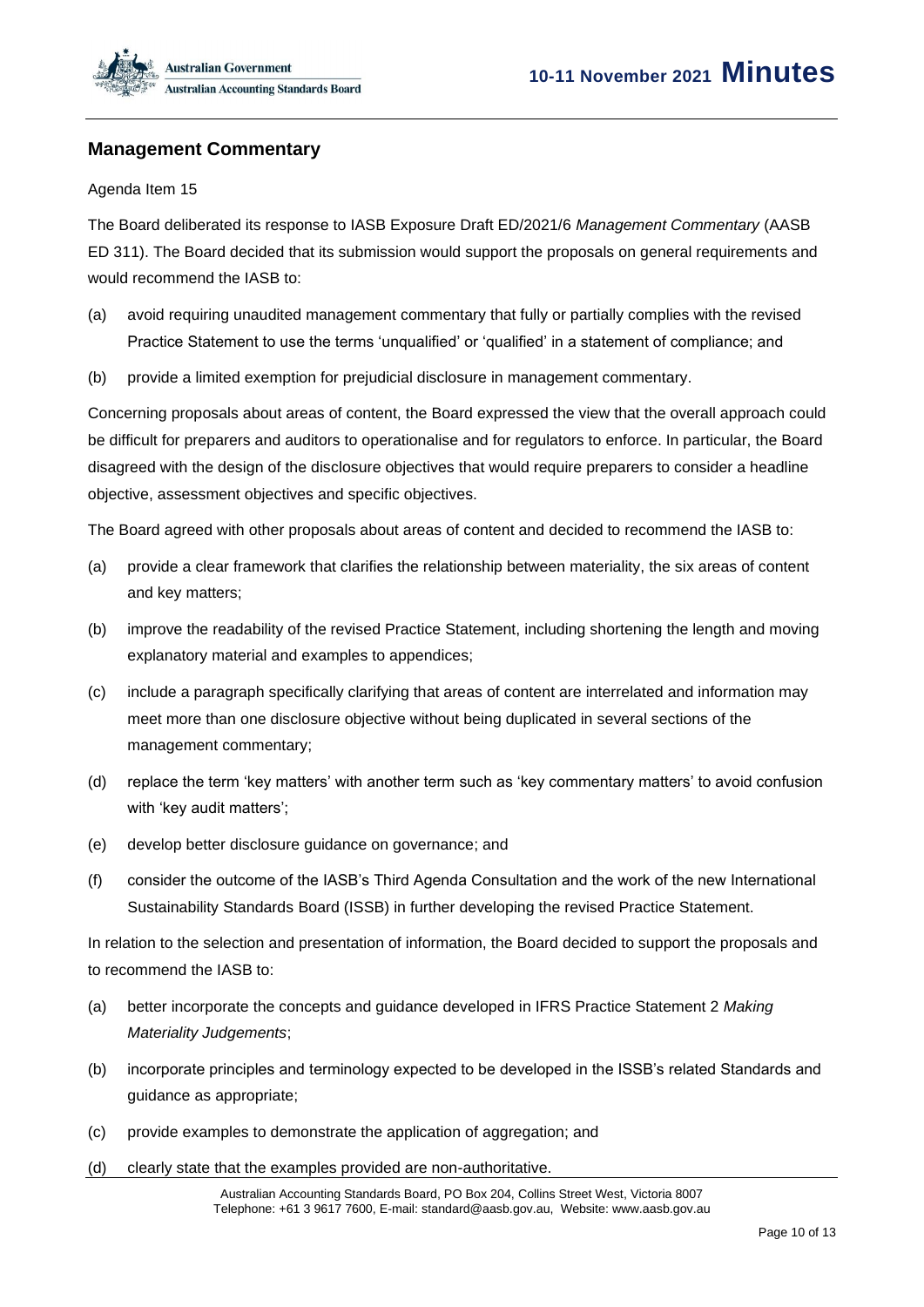## **Management Commentary**

#### Agenda Item 15

The Board deliberated its response to IASB Exposure Draft ED/2021/6 *Management Commentary* (AASB ED 311). The Board decided that its submission would support the proposals on general requirements and would recommend the IASB to:

- (a) avoid requiring unaudited management commentary that fully or partially complies with the revised Practice Statement to use the terms 'unqualified' or 'qualified' in a statement of compliance; and
- (b) provide a limited exemption for prejudicial disclosure in management commentary.

Concerning proposals about areas of content, the Board expressed the view that the overall approach could be difficult for preparers and auditors to operationalise and for regulators to enforce. In particular, the Board disagreed with the design of the disclosure objectives that would require preparers to consider a headline objective, assessment objectives and specific objectives.

The Board agreed with other proposals about areas of content and decided to recommend the IASB to:

- (a) provide a clear framework that clarifies the relationship between materiality, the six areas of content and key matters;
- (b) improve the readability of the revised Practice Statement, including shortening the length and moving explanatory material and examples to appendices;
- (c) include a paragraph specifically clarifying that areas of content are interrelated and information may meet more than one disclosure objective without being duplicated in several sections of the management commentary;
- (d) replace the term 'key matters' with another term such as 'key commentary matters' to avoid confusion with 'key audit matters';
- (e) develop better disclosure guidance on governance; and
- (f) consider the outcome of the IASB's Third Agenda Consultation and the work of the new International Sustainability Standards Board (ISSB) in further developing the revised Practice Statement.

In relation to the selection and presentation of information, the Board decided to support the proposals and to recommend the IASB to:

- (a) better incorporate the concepts and guidance developed in IFRS Practice Statement 2 *Making Materiality Judgements*;
- (b) incorporate principles and terminology expected to be developed in the ISSB's related Standards and guidance as appropriate;
- (c) provide examples to demonstrate the application of aggregation; and
- (d) clearly state that the examples provided are non-authoritative.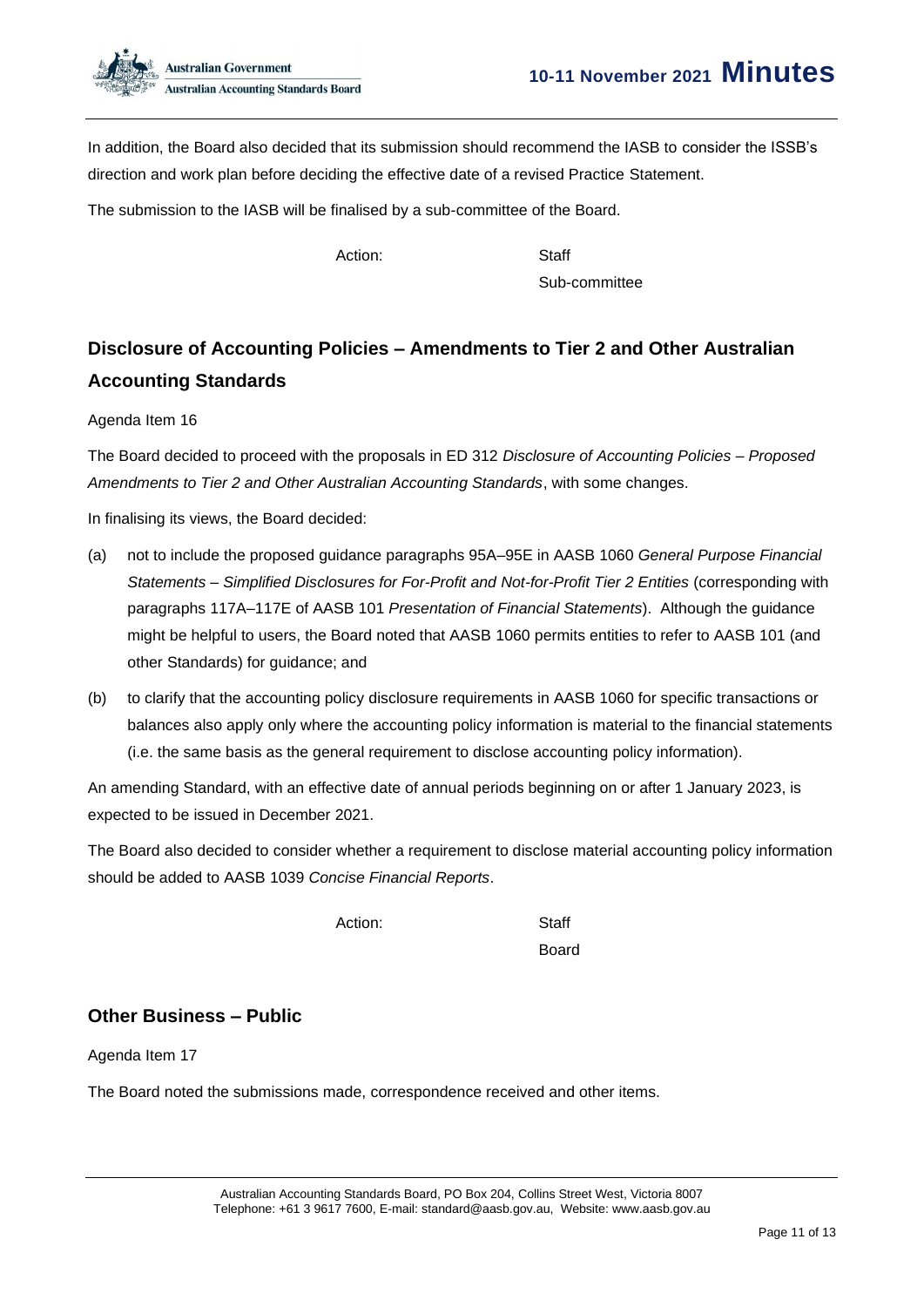

In addition, the Board also decided that its submission should recommend the IASB to consider the ISSB's direction and work plan before deciding the effective date of a revised Practice Statement.

The submission to the IASB will be finalised by a sub-committee of the Board.

Action: Staff

Sub-committee

# **Disclosure of Accounting Policies – Amendments to Tier 2 and Other Australian Accounting Standards**

Agenda Item 16

The Board decided to proceed with the proposals in ED 312 *Disclosure of Accounting Policies – Proposed Amendments to Tier 2 and Other Australian Accounting Standards*, with some changes.

In finalising its views, the Board decided:

- (a) not to include the proposed guidance paragraphs 95A–95E in AASB 1060 *General Purpose Financial Statements – Simplified Disclosures for For-Profit and Not-for-Profit Tier 2 Entities* (corresponding with paragraphs 117A–117E of AASB 101 *Presentation of Financial Statements*). Although the guidance might be helpful to users, the Board noted that AASB 1060 permits entities to refer to AASB 101 (and other Standards) for guidance; and
- (b) to clarify that the accounting policy disclosure requirements in AASB 1060 for specific transactions or balances also apply only where the accounting policy information is material to the financial statements (i.e. the same basis as the general requirement to disclose accounting policy information).

An amending Standard, with an effective date of annual periods beginning on or after 1 January 2023, is expected to be issued in December 2021.

The Board also decided to consider whether a requirement to disclose material accounting policy information should be added to AASB 1039 *Concise Financial Reports*.

Action: Staff

Board

## **Other Business – Public**

Agenda Item 17

The Board noted the submissions made, correspondence received and other items.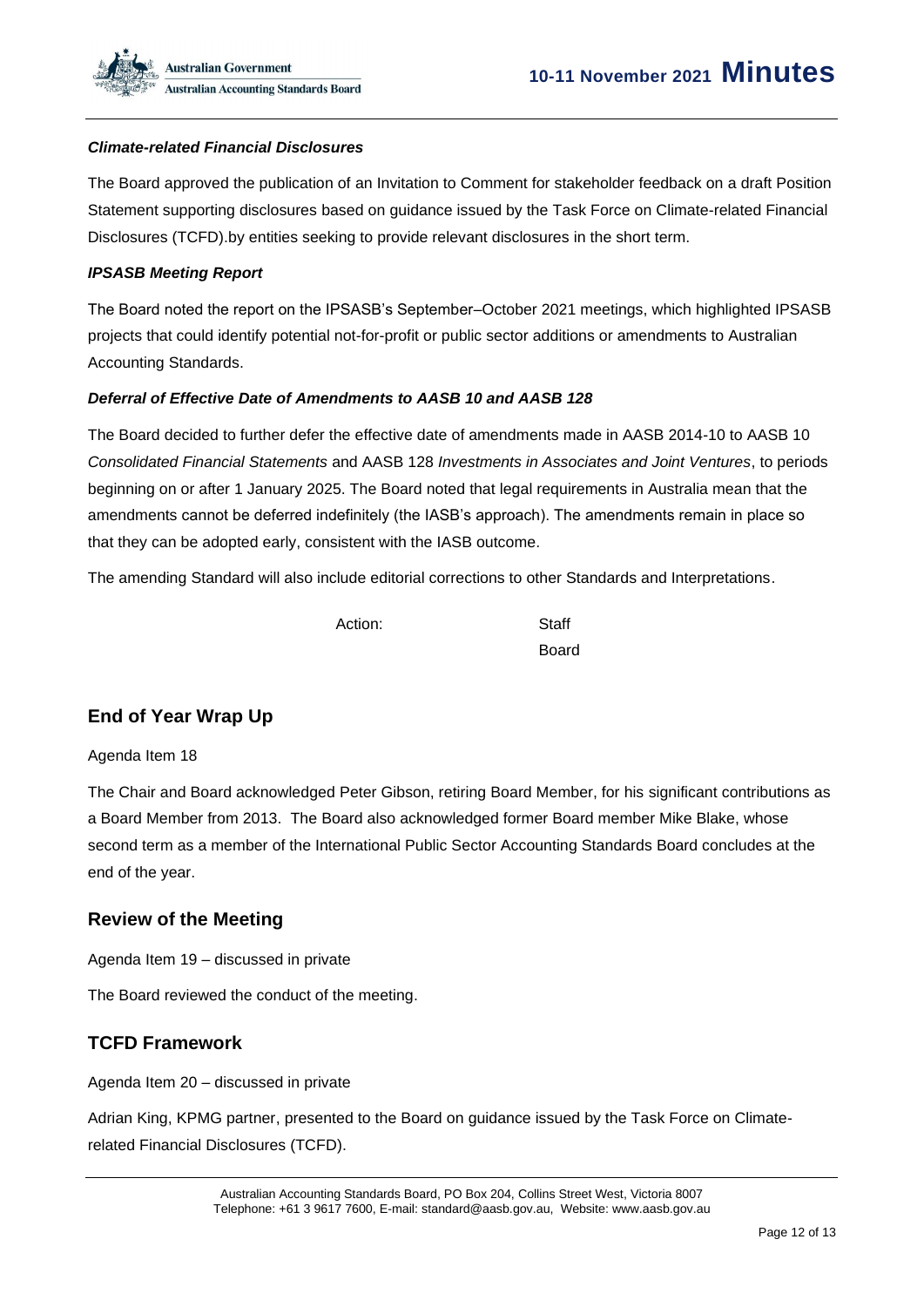#### *Climate-related Financial Disclosures*

The Board approved the publication of an Invitation to Comment for stakeholder feedback on a draft Position Statement supporting disclosures based on guidance issued by the Task Force on Climate-related Financial Disclosures (TCFD).by entities seeking to provide relevant disclosures in the short term.

#### *IPSASB Meeting Report*

The Board noted the report on the IPSASB's September–October 2021 meetings, which highlighted IPSASB projects that could identify potential not-for-profit or public sector additions or amendments to Australian Accounting Standards.

#### *Deferral of Effective Date of Amendments to AASB 10 and AASB 128*

The Board decided to further defer the effective date of amendments made in AASB 2014-10 to AASB 10 *Consolidated Financial Statements* and AASB 128 *Investments in Associates and Joint Ventures*, to periods beginning on or after 1 January 2025. The Board noted that legal requirements in Australia mean that the amendments cannot be deferred indefinitely (the IASB's approach). The amendments remain in place so that they can be adopted early, consistent with the IASB outcome.

The amending Standard will also include editorial corrections to other Standards and Interpretations.

Action: Staff

Board

## **End of Year Wrap Up**

#### Agenda Item 18

The Chair and Board acknowledged Peter Gibson, retiring Board Member, for his significant contributions as a Board Member from 2013. The Board also acknowledged former Board member Mike Blake, whose second term as a member of the International Public Sector Accounting Standards Board concludes at the end of the year.

### **Review of the Meeting**

Agenda Item 19 – discussed in private

The Board reviewed the conduct of the meeting.

#### **TCFD Framework**

Agenda Item 20 – discussed in private

Adrian King, KPMG partner, presented to the Board on guidance issued by the Task Force on Climaterelated Financial Disclosures (TCFD).